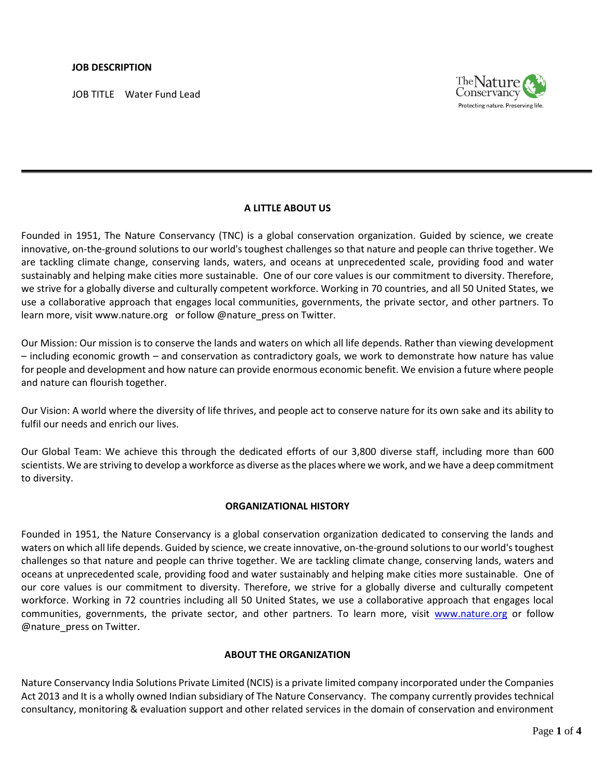JOB TITLE Water Fund Lead



## **A LITTLE ABOUT US**

Founded in 1951, The Nature Conservancy (TNC) is a global conservation organization. Guided by science, we create innovative, on-the-ground solutions to our world's toughest challenges so that nature and people can thrive together. We are tackling climate change, conserving lands, waters, and oceans at unprecedented scale, providing food and water sustainably and helping make cities more sustainable. One of our core values is our commitment to diversity. Therefore, we strive for a globally diverse and culturally competent workforce. Working in 70 countries, and all 50 United States, we use a collaborative approach that engages local communities, governments, the private sector, and other partners. To learn more, visi[t www.nature.org](http://www.nature.org/) or follow @nature\_press on Twitter.

Our Mission: Our mission is to conserve the lands and waters on which all life depends. Rather than viewing development – including economic growth – and conservation as contradictory goals, we work to demonstrate how nature has value for people and development and how nature can provide enormous economic benefit. We envision a future where people and nature can flourish together.

Our Vision: A world where the diversity of life thrives, and people act to conserve nature for its own sake and its ability to fulfil our needs and enrich our lives.

Our Global Team: We achieve this through the dedicated efforts of our 3,800 [diverse staff,](http://www.nature.org/about-us/diversity/index.htm) including more than [600](http://www.nature.org/science-in-action/index.htm)  [scientists.](http://www.nature.org/science-in-action/index.htm) We are striving to develop a workforce as diverse as the places where we work, and we have a deep commitment to diversity.

#### **ORGANIZATIONAL HISTORY**

Founded in 1951, the Nature Conservancy is a global conservation organization dedicated to conserving the lands and waters on which all life depends. Guided by science, we create innovative, on-the-ground solutions to our world'stoughest challenges so that nature and people can thrive together. We are tackling climate change, conserving lands, waters and oceans at unprecedented scale, providing food and water sustainably and helping make cities more sustainable. One of our core values is our commitment to diversity. Therefore, we strive for a globally diverse and culturally competent workforce. Working in 72 countries including all 50 United States, we use a collaborative approach that engages local communities, governments, the private sector, and other partners. To learn more, visit [www.nature.org](http://www.nature.org/) or follow @nature\_press on Twitter.

#### **ABOUT THE ORGANIZATION**

Nature Conservancy India Solutions Private Limited (NCIS) is a private limited company incorporated under the Companies Act 2013 and It is a wholly owned Indian subsidiary of The Nature Conservancy. The company currently provides technical consultancy, monitoring & evaluation support and other related services in the domain of conservation and environment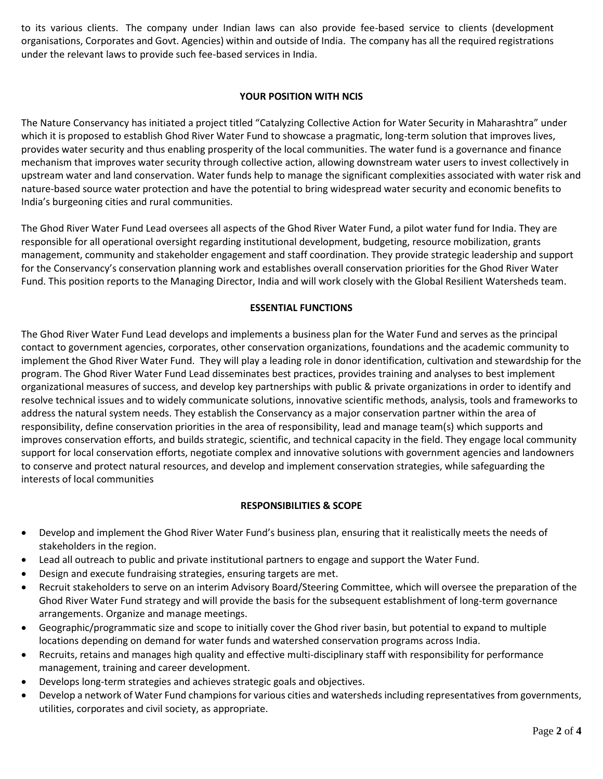to its various clients. The company under Indian laws can also provide fee-based service to clients (development organisations, Corporates and Govt. Agencies) within and outside of India. The company has all the required registrations under the relevant laws to provide such fee-based services in India.

# **YOUR POSITION WITH NCIS**

The Nature Conservancy has initiated a project titled "Catalyzing Collective Action for Water Security in Maharashtra" under which it is proposed to establish Ghod River Water Fund to showcase a pragmatic, long-term solution that improves lives, provides water security and thus enabling prosperity of the local communities. The water fund is a governance and finance mechanism that improves water security through collective action, allowing downstream water users to invest collectively in upstream water and land conservation. Water funds help to manage the significant complexities associated with water risk and nature-based source water protection and have the potential to bring widespread water security and economic benefits to India's burgeoning cities and rural communities.

The Ghod River Water Fund Lead oversees all aspects of the Ghod River Water Fund, a pilot water fund for India. They are responsible for all operational oversight regarding institutional development, budgeting, resource mobilization, grants management, community and stakeholder engagement and staff coordination. They provide strategic leadership and support for the Conservancy's conservation planning work and establishes overall conservation priorities for the Ghod River Water Fund. This position reports to the Managing Director, India and will work closely with the Global Resilient Watersheds team.

# **ESSENTIAL FUNCTIONS**

The Ghod River Water Fund Lead develops and implements a business plan for the Water Fund and serves as the principal contact to government agencies, corporates, other conservation organizations, foundations and the academic community to implement the Ghod River Water Fund. They will play a leading role in donor identification, cultivation and stewardship for the program. The Ghod River Water Fund Lead disseminates best practices, provides training and analyses to best implement organizational measures of success, and develop key partnerships with public & private organizations in order to identify and resolve technical issues and to widely communicate solutions, innovative scientific methods, analysis, tools and frameworks to address the natural system needs. They establish the Conservancy as a major conservation partner within the area of responsibility, define conservation priorities in the area of responsibility, lead and manage team(s) which supports and improves conservation efforts, and builds strategic, scientific, and technical capacity in the field. They engage local community support for local conservation efforts, negotiate complex and innovative solutions with government agencies and landowners to conserve and protect natural resources, and develop and implement conservation strategies, while safeguarding the interests of local communities

## **RESPONSIBILITIES & SCOPE**

- Develop and implement the Ghod River Water Fund's business plan, ensuring that it realistically meets the needs of stakeholders in the region.
- Lead all outreach to public and private institutional partners to engage and support the Water Fund.
- Design and execute fundraising strategies, ensuring targets are met.
- Recruit stakeholders to serve on an interim Advisory Board/Steering Committee, which will oversee the preparation of the Ghod River Water Fund strategy and will provide the basis for the subsequent establishment of long-term governance arrangements. Organize and manage meetings.
- Geographic/programmatic size and scope to initially cover the Ghod river basin, but potential to expand to multiple locations depending on demand for water funds and watershed conservation programs across India.
- Recruits, retains and manages high quality and effective multi-disciplinary staff with responsibility for performance management, training and career development.
- Develops long-term strategies and achieves strategic goals and objectives.
- Develop a network of Water Fund champions for various cities and watersheds including representatives from governments, utilities, corporates and civil society, as appropriate.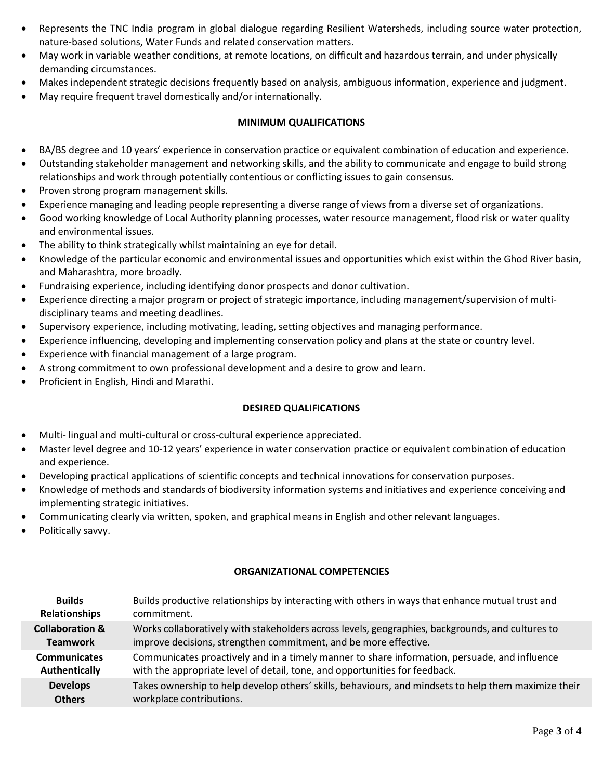- Represents the TNC India program in global dialogue regarding Resilient Watersheds, including source water protection, nature-based solutions, Water Funds and related conservation matters.
- May work in variable weather conditions, at remote locations, on difficult and hazardous terrain, and under physically demanding circumstances.
- Makes independent strategic decisions frequently based on analysis, ambiguous information, experience and judgment.
- May require frequent travel domestically and/or internationally.

## **MINIMUM QUALIFICATIONS**

- BA/BS degree and 10 years' experience in conservation practice or equivalent combination of education and experience.
- Outstanding stakeholder management and networking skills, and the ability to communicate and engage to build strong relationships and work through potentially contentious or conflicting issues to gain consensus.
- Proven strong program management skills.
- Experience managing and leading people representing a diverse range of views from a diverse set of organizations.
- Good working knowledge of Local Authority planning processes, water resource management, flood risk or water quality and environmental issues.
- The ability to think strategically whilst maintaining an eye for detail.
- Knowledge of the particular economic and environmental issues and opportunities which exist within the Ghod River basin, and Maharashtra, more broadly.
- Fundraising experience, including identifying donor prospects and donor cultivation.
- Experience directing a major program or project of strategic importance, including management/supervision of multidisciplinary teams and meeting deadlines.
- Supervisory experience, including motivating, leading, setting objectives and managing performance.
- Experience influencing, developing and implementing conservation policy and plans at the state or country level.
- Experience with financial management of a large program.
- A strong commitment to own professional development and a desire to grow and learn.
- Proficient in English, Hindi and Marathi.

## **DESIRED QUALIFICATIONS**

- Multi- lingual and multi-cultural or cross-cultural experience appreciated.
- Master level degree and 10-12 years' experience in water conservation practice or equivalent combination of education and experience.
- Developing practical applications of scientific concepts and technical innovations for conservation purposes.
- Knowledge of methods and standards of biodiversity information systems and initiatives and experience conceiving and implementing strategic initiatives.
- Communicating clearly via written, spoken, and graphical means in English and other relevant languages.
- Politically savvy.

## **ORGANIZATIONAL COMPETENCIES**

| <b>Builds</b>              | Builds productive relationships by interacting with others in ways that enhance mutual trust and     |
|----------------------------|------------------------------------------------------------------------------------------------------|
| Relationships              | commitment.                                                                                          |
| <b>Collaboration &amp;</b> | Works collaboratively with stakeholders across levels, geographies, backgrounds, and cultures to     |
| <b>Teamwork</b>            | improve decisions, strengthen commitment, and be more effective.                                     |
| <b>Communicates</b>        | Communicates proactively and in a timely manner to share information, persuade, and influence        |
| Authentically              | with the appropriate level of detail, tone, and opportunities for feedback.                          |
| <b>Develops</b>            | Takes ownership to help develop others' skills, behaviours, and mindsets to help them maximize their |
| <b>Others</b>              | workplace contributions.                                                                             |